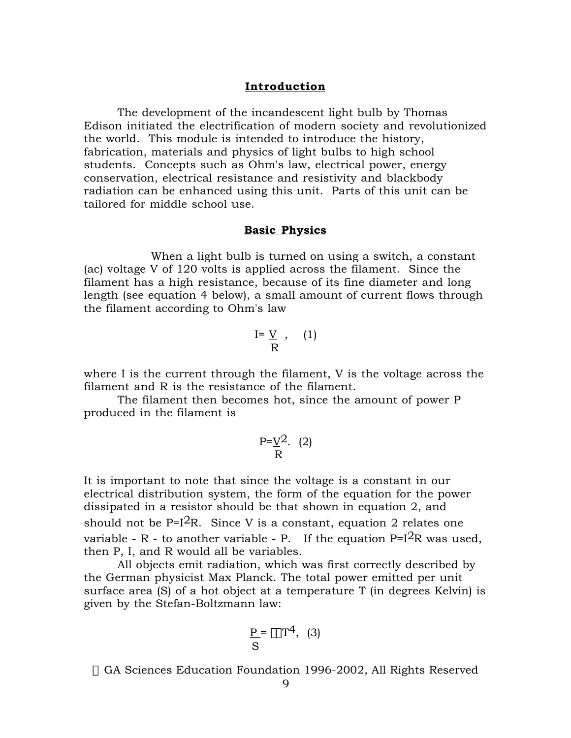## **Introduction**

The development of the incandescent light bulb by Thomas Edison initiated the electrification of modern society and revolutionized the world. This module is intended to introduce the history, fabrication, materials and physics of light bulbs to high school students. Concepts such as Ohm's law, electrical power, energy conservation, electrical resistance and resistivity and blackbody radiation can be enhanced using this unit. Parts of this unit can be tailored for middle school use.

## **Basic Physics**

When a light bulb is turned on using a switch, a constant (ac) voltage V of 120 volts is applied across the filament. Since the filament has a high resistance, because of its fine diameter and long length (see equation 4 below), a small amount of current flows through the filament according to Ohm's law

$$
\begin{array}{cc}\nI = \underline{V} & , & (1) \\
\overline{R}\n\end{array}
$$

where I is the current through the filament, V is the voltage across the filament and R is the resistance of the filament.

The filament then becomes hot, since the amount of power P produced in the filament is

$$
\frac{P = V^2}{R} \quad (2)
$$

It is important to note that since the voltage is a constant in our electrical distribution system, the form of the equation for the power dissipated in a resistor should be that shown in equation 2, and should not be  $P=I^2R$ . Since V is a constant, equation 2 relates one variable - R - to another variable - P. If the equation  $P=I^2R$  was used. then P, I, and R would all be variables.

All objects emit radiation, which was first correctly described by the German physicist Max Planck. The total power emitted per unit surface area (S) of a hot object at a temperature T (in degrees Kelvin) is given by the Stefan-Boltzmann law:

$$
\frac{P}{S} = \epsilon \sigma T^4, \quad (3)
$$

© GA Sciences Education Foundation 1996-2002, All Rights Reserved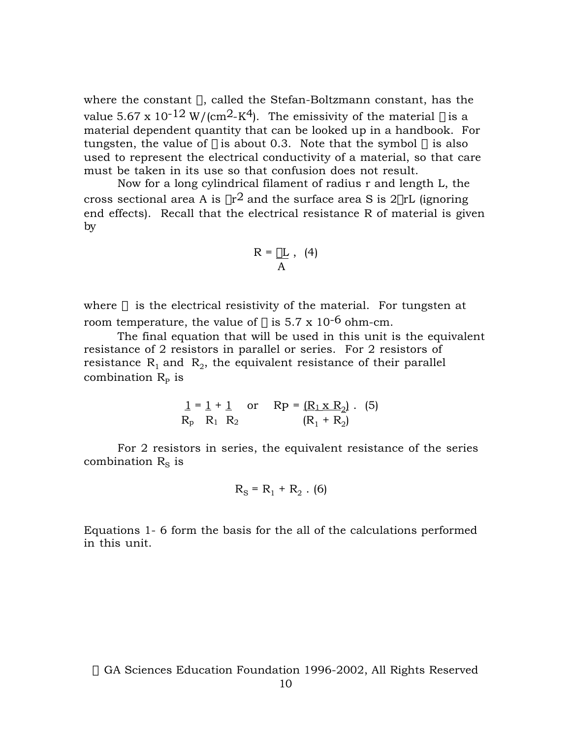where the constant  $\sigma$ , called the Stefan-Boltzmann constant, has the value 5.67 x 10<sup>-12</sup> W/(cm<sup>2</sup>-K<sup>4</sup>). The emissivity of the material  $\varepsilon$  is a material dependent quantity that can be looked up in a handbook. For tungsten, the value of  $\varepsilon$  is about 0.3. Note that the symbol  $\sigma$  is also used to represent the electrical conductivity of a material, so that care must be taken in its use so that confusion does not result.

Now for a long cylindrical filament of radius r and length L, the cross sectional area A is  $\pi r^2$  and the surface area S is  $2\pi rL$  (ignoring end effects). Recall that the electrical resistance R of material is given by

$$
R = \mathop{\underline{\rho L}}_{A} , \ \ (4)
$$

where  $\rho$  is the electrical resistivity of the material. For tungsten at room temperature, the value of  $\rho$  is 5.7 x 10<sup>-6</sup> ohm-cm.

The final equation that will be used in this unit is the equivalent resistance of 2 resistors in parallel or series. For 2 resistors of resistance  $R_1$  and  $R_2$ , the equivalent resistance of their parallel combination  $R_{\rm p}$  is

$$
\begin{array}{lll}\n1 = 1 + 1 & \text{or} & \text{RP} = (\underline{R_1 \times R_2}) . \quad (5) \\
\text{R}_p & \text{R}_1 & \text{R}_2 & (\text{R}_1 + \text{R}_2)\n\end{array}
$$

For 2 resistors in series, the equivalent resistance of the series combination  $R_s$  is

$$
R_S = R_1 + R_2 \cdot (6)
$$

Equations 1- 6 form the basis for the all of the calculations performed in this unit.